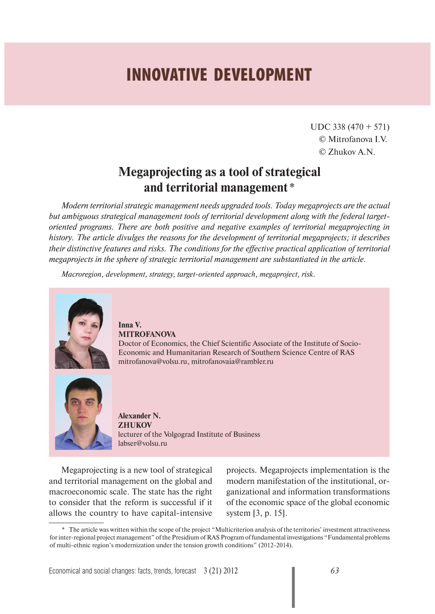## **INNOVATIVE DEVELOPMENT**

UDC 338 (470 + 571) © Mitrofanova I.V. © Zhukov A.N.

## **Megaprojecting as a tool of strategical and territorial management** \*

*Modern territorial strategic management needs upgraded tools. Today megaprojects are the actual but ambiguous strategical management tools of territorial development along with the federal targetoriented programs. There are both positive and negative examples of territorial megaprojecting in history. The article divulges the reasons for the development of territorial megaprojects; it describes their distinctive features and risks. The conditions for the effective practical application of territorial megaprojects in the sphere of strategic territorial management are substantiated in the article.*

*Macroregion, development, strategy, target-oriented approach, megaproject, risk.*



**Inna V. MITROFANOVA** Doctor of Economics, the Chief Scientific Associate of the Institute of Socio-Economic and Humanitarian Research of Southern Science Centre of RAS mitrofanova@volsu.ru, mitrofanovaia@rambler.ru



**Alexander N. ZHUKOV**  lecturer of the Volgograd Institute of Business labser@volsu.ru

Megaprojecting is a new tool of strategical and territorial management on the global and macroeconomic scale. The state has the right to consider that the reform is successful if it allows the country to have capital-intensive

projects. Megaprojects implementation is the modern manifestation of the institutional, organizational and information transformations of the economic space of the global economic system [3, p. 15].

<sup>\*</sup> The article was written within the scope of the project "Multicriterion analysis of the territories' investment attractiveness for inter-regional project management" of the Presidium of RAS Program of fundamental investigations "Fundamental problems of multi-ethnic region's modernization under the tension growth conditions" (2012-2014).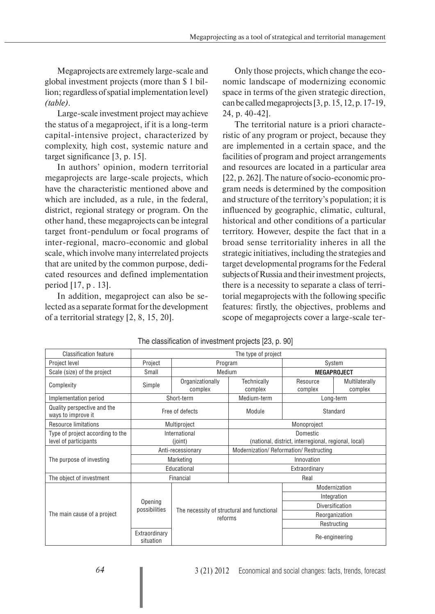Megaprojects are extremely large-scale and global investment projects (more than \$ 1 billion; regardless of spatial implementation level) *(table)*.

Large-scale investment project may achieve the status of a megaproject, if it is a long-term capital-intensive project, characterized by complexity, high cost, systemic nature and target significance [3, p. 15].

In authors' opinion, modern territorial megaprojects are large-scale projects, which have the characteristic mentioned above and which are included, as a rule, in the federal, district, regional strategy or program. On the other hand, these megaprojects can be integral target front-pendulum or focal programs of inter-regional, macro-economic and global scale, which involve many interrelated projects that are united by the common purpose, dedicated resources and defined implementation period [17, p . 13].

In addition, megaproject can also be selected as a separate format for the development of a territorial strategy [2, 8, 15, 20].

Only those projects, which change the economic landscape of modernizing economic space in terms of the given strategic direction, can be called megaprojects [3, p. 15, 12, p. 17-19, 24, p. 40-42].

The territorial nature is a priori characteristic of any program or project, because they are implemented in a certain space, and the facilities of program and project arrangements and resources are located in a particular area [22, p. 262]. The nature of socio-economic program needs is determined by the composition and structure of the territory's population; it is influenced by geographic, climatic, cultural, historical and other conditions of a particular territory. However, despite the fact that in a broad sense territoriality inheres in all the strategic initiatives, including the strategies and target developmental programs for the Federal subjects of Russia and their investment projects, there is a necessity to separate a class of territorial megaprojects with the following specific features: firstly, the objectives, problems and scope of megaprojects cover a large-scale ter-

| <b>Classification feature</b>                             | The type of project        |                                            |                                                                  |                     |                           |
|-----------------------------------------------------------|----------------------------|--------------------------------------------|------------------------------------------------------------------|---------------------|---------------------------|
| Project level                                             | Project                    | Program                                    |                                                                  | System              |                           |
| Scale (size) of the project                               | Small                      | Medium                                     |                                                                  | <b>MEGAPROJECT</b>  |                           |
| Complexity                                                | Simple                     | Organizationally<br>complex                | Technically<br>complex                                           | Resource<br>complex | Multilaterally<br>complex |
| Implementation period                                     | Short-term                 |                                            | Medium-term                                                      | Long-term           |                           |
| Quality perspective and the<br>ways to improve it         | Free of defects            |                                            | Module                                                           | Standard            |                           |
| Resource limitations                                      | Multiproject               |                                            | Monoproject                                                      |                     |                           |
| Type of project according to the<br>level of participants | International<br>(joint)   |                                            | Domestic<br>(national, district, interregional, regional, local) |                     |                           |
| The purpose of investing                                  | Anti-recessionary          |                                            | Modernization/ Reformation/ Restructing                          |                     |                           |
|                                                           | Marketing                  |                                            | Innovation                                                       |                     |                           |
|                                                           | Educational                |                                            | Extraordinary                                                    |                     |                           |
| The object of investment                                  | Financial                  |                                            | Real                                                             |                     |                           |
| The main cause of a project                               | Opening<br>possibilities   |                                            |                                                                  | Modernization       |                           |
|                                                           |                            |                                            |                                                                  | Integration         |                           |
|                                                           |                            | The necessity of structural and functional |                                                                  | Diversification     |                           |
|                                                           |                            | reforms                                    |                                                                  | Reorganization      |                           |
|                                                           |                            |                                            |                                                                  | Restructing         |                           |
|                                                           | Extraordinary<br>situation |                                            |                                                                  | Re-engineering      |                           |

The classification of investment projects [23, p. 90]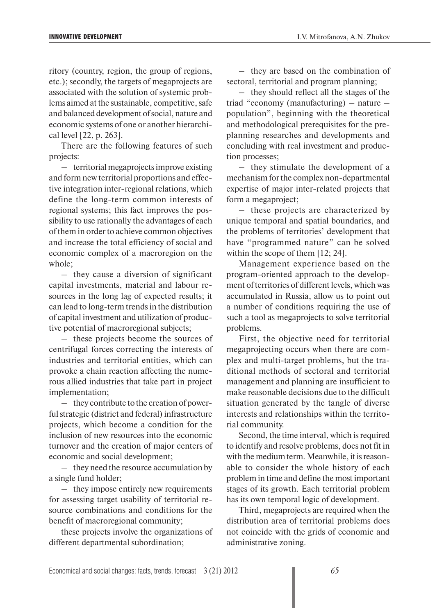ritory (country, region, the group of regions, etc.); secondly, the targets of megaprojects are associated with the solution of systemic problems aimed at the sustainable, competitive, safe and balanced development of social, nature and economic systems of one or another hierarchical level [22, p. 263].

There are the following features of such projects:

– territorial megaprojects improve existing and form new territorial proportions and effective integration inter-regional relations, which define the long-term common interests of regional systems; this fact improves the possibility to use rationally the advantages of each of them in order to achieve common objectives and increase the total efficiency of social and economic complex of a macroregion on the whole;

– they cause a diversion of significant capital investments, material and labour resources in the long lag of expected results; it can lead to long-term trends in the distribution of capital investment and utilization of productive potential of macroregional subjects;

– these projects become the sources of centrifugal forces correcting the interests of industries and territorial entities, which can provoke a chain reaction affecting the numerous allied industries that take part in project implementation;

– they contribute to the creation of powerful strategic (district and federal) infrastructure projects, which become a condition for the inclusion of new resources into the economic turnover and the creation of major centers of economic and social development;

– they need the resource accumulation by a single fund holder;

– they impose entirely new requirements for assessing target usability of territorial resource combinations and conditions for the benefit of macroregional community;

these projects involve the organizations of different departmental subordination;

– they are based on the combination of sectoral, territorial and program planning;

– they should reflect all the stages of the triad "economy (manufacturing) – nature – population", beginning with the theoretical and methodological prerequisites for the preplanning researches and developments and concluding with real investment and production processes;

– they stimulate the development of a mechanism for the complex non-departmental expertise of major inter-related projects that form a megaproject;

– these projects are characterized by unique temporal and spatial boundaries, and the problems of territories' development that have "programmed nature" can be solved within the scope of them [12; 24].

Management experience based on the program-oriented approach to the development of territories of different levels, which was accumulated in Russia, allow us to point out a number of conditions requiring the use of such a tool as megaprojects to solve territorial problems.

First, the objective need for territorial megaprojecting occurs when there are complex and multi-target problems, but the traditional methods of sectoral and territorial management and planning are insufficient to make reasonable decisions due to the difficult situation generated by the tangle of diverse interests and relationships within the territorial community.

Second, the time interval, which is required to identify and resolve problems, does not fit in with the medium term. Meanwhile, it is reasonable to consider the whole history of each problem in time and define the most important stages of its growth. Each territorial problem has its own temporal logic of development.

Third, megaprojects are required when the distribution area of territorial problems does not coincide with the grids of economic and administrative zoning.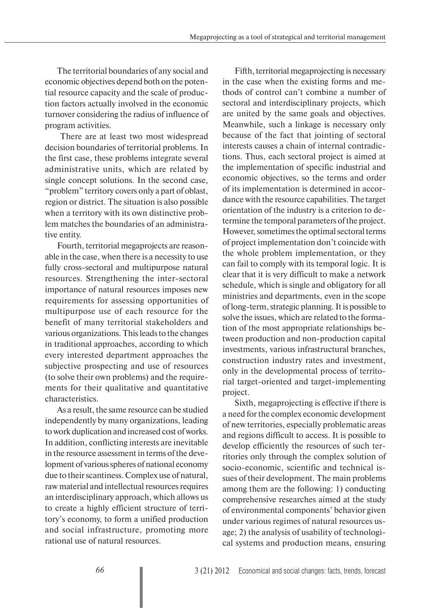The territorial boundaries of any social and economic objectives depend both on the potential resource capacity and the scale of production factors actually involved in the economic turnover considering the radius of influence of program activities.

 There are at least two most widespread decision boundaries of territorial problems. In the first case, these problems integrate several administrative units, which are related by single concept solutions. In the second case, "problem" territory covers only a part of oblast, region or district. The situation is also possible when a territory with its own distinctive problem matches the boundaries of an administrative entity.

Fourth, territorial megaprojects are reasonable in the case, when there is a necessity to use fully cross-sectoral and multipurpose natural resources. Strengthening the inter-sectoral importance of natural resources imposes new requirements for assessing opportunities of multipurpose use of each resource for the benefit of many territorial stakeholders and various organizations. This leads to the changes in traditional approaches, according to which every interested department approaches the subjective prospecting and use of resources (to solve their own problems) and the requirements for their qualitative and quantitative characteristics.

As a result, the same resource can be studied independently by many organizations, leading to work duplication and increased cost of works. In addition, conflicting interests are inevitable in the resource assessment in terms of the development of various spheres of national economy due to their scantiness. Complex use of natural, raw material and intellectual resources requires an interdisciplinary approach, which allows us to create a highly efficient structure of territory's economy, to form a unified production and social infrastructure, promoting more rational use of natural resources.

Fifth, territorial megaprojecting is necessary in the case when the existing forms and methods of control can't combine a number of sectoral and interdisciplinary projects, which are united by the same goals and objectives. Meanwhile, such a linkage is necessary only because of the fact that jointing of sectoral interests causes a chain of internal contradictions. Thus, each sectoral project is aimed at the implementation of specific industrial and economic objectives, so the terms and order of its implementation is determined in accordance with the resource capabilities. The target orientation of the industry is a criterion to determine the temporal parameters of the project. However, sometimes the optimal sectoral terms of project implementation don't coincide with the whole problem implementation, or they can fail to comply with its temporal logic. It is clear that it is very difficult to make a network schedule, which is single and obligatory for all ministries and departments, even in the scope of long-term, strategic planning. It is possible to solve the issues, which are related to the formation of the most appropriate relationships between production and non-production capital investments, various infrastructural branches, construction industry rates and investment, only in the developmental process of territorial target-oriented and target-implementing project.

Sixth, megaprojecting is effective if there is a need for the complex economic development of new territories, especially problematic areas and regions difficult to access. It is possible to develop efficiently the resources of such territories only through the complex solution of socio-economic, scientific and technical issues of their development. The main problems among them are the following: 1) conducting comprehensive researches aimed at the study of environmental components' behavior given under various regimes of natural resources usage; 2) the analysis of usability of technological systems and production means, ensuring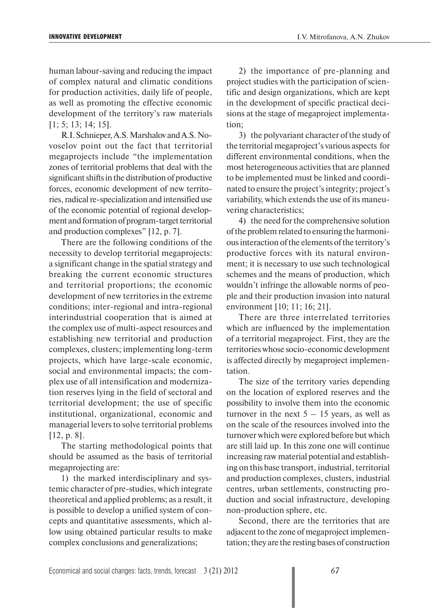human labour-saving and reducing the impact of complex natural and climatic conditions for production activities, daily life of people, as well as promoting the effective economic development of the territory's raw materials [1; 5; 13; 14; 15].

R.I. Schnieper, A.S. Marshalov and A.S. Novoselov point out the fact that territorial megaprojects include "the implementation zones of territorial problems that deal with the significant shifts in the distribution of productive forces, economic development of new territories, radical re-specialization and intensified use of the economic potential of regional development and formation of program-target territorial and production complexes" [12, p. 7].

There are the following conditions of the necessity to develop territorial megaprojects: a significant change in the spatial strategy and breaking the current economic structures and territorial proportions; the economic development of new territories in the extreme conditions; inter-regional and intra-regional interindustrial cooperation that is aimed at the complex use of multi-aspect resources and establishing new territorial and production complexes, clusters; implementing long-term projects, which have large-scale economic, social and environmental impacts; the complex use of all intensification and modernization reserves lying in the field of sectoral and territorial development; the use of specific institutional, organizational, economic and managerial levers to solve territorial problems [12, p. 8].

The starting methodological points that should be assumed as the basis of territorial megaprojecting are:

1) the marked interdisciplinary and systemic character of pre-studies, which integrate theoretical and applied problems; as a result, it is possible to develop a unified system of concepts and quantitative assessments, which allow using obtained particular results to make complex conclusions and generalizations;

2) the importance of pre-planning and project studies with the participation of scientific and design organizations, which are kept in the development of specific practical decisions at the stage of megaproject implementation;

3) the polyvariant character of the study of the territorial megaproject's various aspects for different environmental conditions, when the most heterogeneous activities that are planned to be implemented must be linked and coordinated to ensure the project's integrity; project's variability, which extends the use of its maneuvering characteristics;

4) the need for the comprehensive solution of the problem related to ensuring the harmonious interaction of the elements of the territory's productive forces with its natural environment; it is necessary to use such technological schemes and the means of production, which wouldn't infringe the allowable norms of people and their production invasion into natural environment [10; 11; 16; 21].

There are three interrelated territories which are influenced by the implementation of a territorial megaproject. First, they are the territories whose socio-economic development is affected directly by megaproject implementation.

The size of the territory varies depending on the location of explored reserves and the possibility to involve them into the economic turnover in the next  $5 - 15$  years, as well as on the scale of the resources involved into the turnover which were explored before but which are still laid up. In this zone one will continue increasing raw material potential and establishing on this base transport, industrial, territorial and production complexes, clusters, industrial centres, urban settlements, constructing production and social infrastructure, developing non-production sphere, etc.

Second, there are the territories that are adjacent to the zone of megaproject implementation; they are the resting bases of construction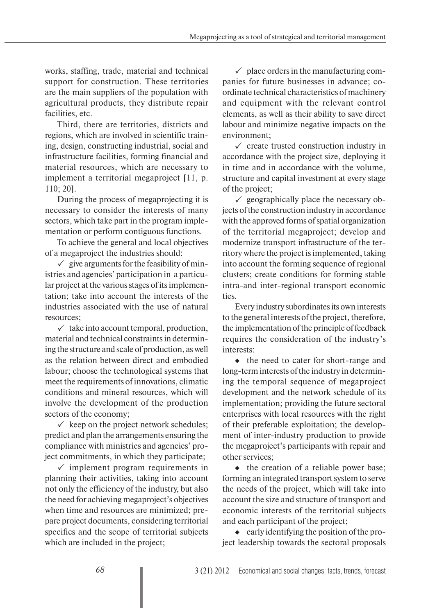works, staffing, trade, material and technical support for construction. These territories are the main suppliers of the population with agricultural products, they distribute repair facilities, etc.

Third, there are territories, districts and regions, which are involved in scientific training, design, constructing industrial, social and infrastructure facilities, forming financial and material resources, which are necessary to implement a territorial megaproject [11, p. 110; 20].

During the process of megaprojecting it is necessary to consider the interests of many sectors, which take part in the program implementation or perform contiguous functions.

To achieve the general and local objectives of a megaproject the industries should:

 $\checkmark$  give arguments for the feasibility of ministries and agencies' participation in a particular project at the various stages of its implementation; take into account the interests of the industries associated with the use of natural resources;

 $\checkmark$  take into account temporal, production, material and technical constraints in determining the structure and scale of production, as well as the relation between direct and embodied labour; choose the technological systems that meet the requirements of innovations, climatic conditions and mineral resources, which will involve the development of the production sectors of the economy;

 $\checkmark$  keep on the project network schedules; predict and plan the arrangements ensuring the compliance with ministries and agencies' project commitments, in which they participate;

 $\checkmark$  implement program requirements in planning their activities, taking into account not only the efficiency of the industry, but also the need for achieving megaproject's objectives when time and resources are minimized; prepare project documents, considering territorial specifics and the scope of territorial subjects which are included in the project;

 $\checkmark$  place orders in the manufacturing companies for future businesses in advance; coordinate technical characteristics of machinery and equipment with the relevant control elements, as well as their ability to save direct labour and minimize negative impacts on the environment;

 $\checkmark$  create trusted construction industry in accordance with the project size, deploying it in time and in accordance with the volume, structure and capital investment at every stage of the project;

 $\checkmark$  geographically place the necessary objects of the construction industry in accordance with the approved forms of spatial organization of the territorial megaproject; develop and modernize transport infrastructure of the territory where the project is implemented, taking into account the forming sequence of regional clusters; create conditions for forming stable intra-and inter-regional transport economic ties.

Every industry subordinates its own interests to the general interests of the project, therefore, the implementation of the principle of feedback requires the consideration of the industry's interests:

 $\bullet$  the need to cater for short-range and long-term interests of the industry in determining the temporal sequence of megaproject development and the network schedule of its implementation; providing the future sectoral enterprises with local resources with the right of their preferable exploitation; the development of inter-industry production to provide the megaproject's participants with repair and other services;

 $\bullet$  the creation of a reliable power base; forming an integrated transport system to serve the needs of the project, which will take into account the size and structure of transport and economic interests of the territorial subjects and each participant of the project;

 $\bullet$  early identifying the position of the project leadership towards the sectoral proposals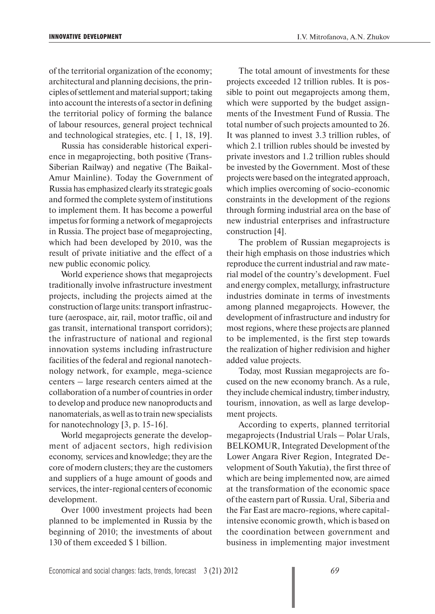of the territorial organization of the economy; architectural and planning decisions, the principles of settlement and material support; taking into account the interests of a sector in defining the territorial policy of forming the balance of labour resources, general project technical and technological strategies, etc. [ 1, 18, 19].

Russia has considerable historical experience in megaprojecting, both positive (Trans-Siberian Railway) and negative (The Baikal-Amur Mainline). Today the Government of Russia has emphasized clearly its strategic goals and formed the complete system of institutions to implement them. It has become a powerful impetus for forming a network of megaprojects in Russia. The project base of megaprojecting, which had been developed by 2010, was the result of private initiative and the effect of a new public economic policy.

World experience shows that megaprojects traditionally involve infrastructure investment projects, including the projects aimed at the construction of large units: transport infrastructure (aerospace, air, rail, motor traffic, oil and gas transit, international transport corridors); the infrastructure of national and regional innovation systems including infrastructure facilities of the federal and regional nanotechnology network, for example, mega-science centers – large research centers aimed at the collaboration of a number of countries in order to develop and produce new nanoproducts and nanomaterials, as well as to train new specialists for nanotechnology [3, p. 15-16].

World megaprojects generate the development of adjacent sectors, high redivision economy, services and knowledge; they are the core of modern clusters; they are the customers and suppliers of a huge amount of goods and services, the inter-regional centers of economic development.

Over 1000 investment projects had been planned to be implemented in Russia by the beginning of 2010; the investments of about 130 of them exceeded \$ 1 billion.

The total amount of investments for these projects exceeded 12 trillion rubles. It is possible to point out megaprojects among them, which were supported by the budget assignments of the Investment Fund of Russia. The total number of such projects amounted to 26. It was planned to invest 3.3 trillion rubles, of which 2.1 trillion rubles should be invested by private investors and 1.2 trillion rubles should be invested by the Government. Most of these projects were based on the integrated approach, which implies overcoming of socio-economic constraints in the development of the regions through forming industrial area on the base of new industrial enterprises and infrastructure construction [4].

The problem of Russian megaprojects is their high emphasis on those industries which reproduce the current industrial and raw material model of the country's development. Fuel and energy complex, metallurgy, infrastructure industries dominate in terms of investments among planned megaprojects. However, the development of infrastructure and industry for most regions, where these projects are planned to be implemented, is the first step towards the realization of higher redivision and higher added value projects.

Today, most Russian megaprojects are focused on the new economy branch. As a rule, they include chemical industry, timber industry, tourism, innovation, as well as large development projects.

According to experts, planned territorial megaprojects (Industrial Urals – Polar Urals, BELKOMUR, Integrated Development of the Lower Angara River Region, Integrated Development of South Yakutia), the first three of which are being implemented now, are aimed at the transformation of the economic space of the eastern part of Russia. Ural, Siberia and the Far East are macro-regions, where capitalintensive economic growth, which is based on the coordination between government and business in implementing major investment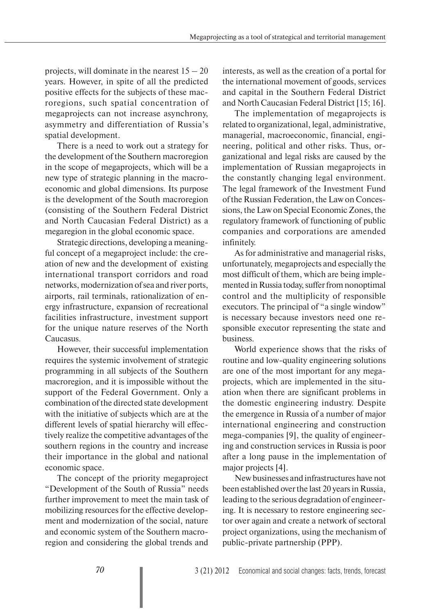projects, will dominate in the nearest  $15 - 20$ years. However, in spite of all the predicted positive effects for the subjects of these macroregions, such spatial concentration of megaprojects can not increase asynchrony, asymmetry and differentiation of Russia's spatial development.

There is a need to work out a strategy for the development of the Southern macroregion in the scope of megaprojects, which will be a new type of strategic planning in the macroeconomic and global dimensions. Its purpose is the development of the South macroregion (consisting of the Southern Federal District and North Caucasian Federal District) as a megaregion in the global economic space.

Strategic directions, developing a meaningful concept of a megaproject include: the creation of new and the development of existing international transport corridors and road networks, modernization of sea and river ports, airports, rail terminals, rationalization of energy infrastructure, expansion of recreational facilities infrastructure, investment support for the unique nature reserves of the North Caucasus.

However, their successful implementation requires the systemic involvement of strategic programming in all subjects of the Southern macroregion, and it is impossible without the support of the Federal Government. Only a combination of the directed state development with the initiative of subjects which are at the different levels of spatial hierarchy will effectively realize the competitive advantages of the southern regions in the country and increase their importance in the global and national economic space.

The concept of the priority megaproject "Development of the South of Russia" needs further improvement to meet the main task of mobilizing resources for the effective development and modernization of the social, nature and economic system of the Southern macroregion and considering the global trends and

interests, as well as the creation of a portal for the international movement of goods, services and capital in the Southern Federal District and North Caucasian Federal District [15; 16].

The implementation of megaprojects is related to organizational, legal, administrative, managerial, macroeconomic, financial, engineering, political and other risks. Thus, organizational and legal risks are caused by the implementation of Russian megaprojects in the constantly changing legal environment. The legal framework of the Investment Fund of the Russian Federation, the Law on Concessions, the Law on Special Economic Zones, the regulatory framework of functioning of public companies and corporations are amended infinitely.

As for administrative and managerial risks, unfortunately, megaprojects and especially the most difficult of them, which are being implemented in Russia today, suffer from nonoptimal control and the multiplicity of responsible executors. The principal of "a single window" is necessary because investors need one responsible executor representing the state and business.

World experience shows that the risks of routine and low-quality engineering solutions are one of the most important for any megaprojects, which are implemented in the situation when there are significant problems in the domestic engineering industry. Despite the emergence in Russia of a number of major international engineering and construction mega-companies [9], the quality of engineering and construction services in Russia is poor after a long pause in the implementation of major projects [4].

New businesses and infrastructures have not been established over the last 20 years in Russia, leading to the serious degradation of engineering. It is necessary to restore engineering sector over again and create a network of sectoral project organizations, using the mechanism of public-private partnership (PPP).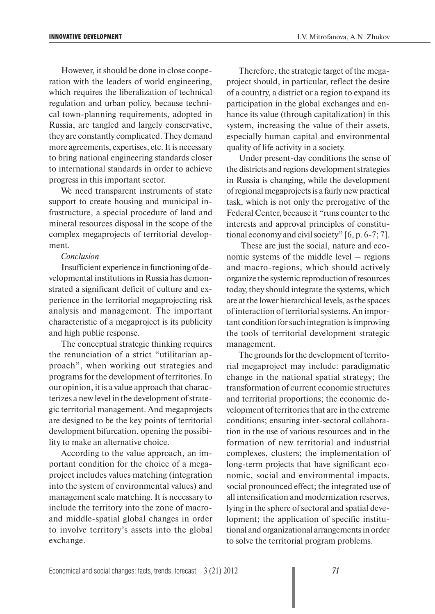However, it should be done in close cooperation with the leaders of world engineering, which requires the liberalization of technical regulation and urban policy, because technical town-planning requirements, adopted in Russia, are tangled and largely conservative, they are constantly complicated. They demand more agreements, expertises, etc. It is necessary to bring national engineering standards closer to international standards in order to achieve progress in this important sector.

We need transparent instruments of state support to create housing and municipal infrastructure, a special procedure of land and mineral resources disposal in the scope of the complex megaprojects of territorial development.

## *Conclusion*

Insufficient experience in functioning of developmental institutions in Russia has demonstrated a significant deficit of culture and experience in the territorial megaprojecting risk analysis and management. The important characteristic of a megaproject is its publicity and high public response.

The conceptual strategic thinking requires the renunciation of a strict "utilitarian approach", when working out strategies and programs for the development of territories. In our opinion, it is a value approach that characterizes a new level in the development of strategic territorial management. And megaprojects are designed to be the key points of territorial development bifurcation, opening the possibility to make an alternative choice.

According to the value approach, an important condition for the choice of a megaproject includes values matching (integration into the system of environmental values) and management scale matching. It is necessary to include the territory into the zone of macroand middle-spatial global changes in order to involve territory's assets into the global exchange.

Therefore, the strategic target of the megaproject should, in particular, reflect the desire of a country, a district or a region to expand its participation in the global exchanges and enhance its value (through capitalization) in this system, increasing the value of their assets, especially human capital and environmental quality of life activity in a society.

Under present-day conditions the sense of the districts and regions development strategies in Russia is changing, while the development of regional megaprojects is a fairly new practical task, which is not only the prerogative of the Federal Center, because it "runs counter to the interests and approval principles of constitutional economy and civil society" [6, p. 6-7; 7].

 These are just the social, nature and economic systems of the middle level – regions and macro-regions, which should actively organize the systemic reproduction of resources today, they should integrate the systems, which are at the lower hierarchical levels, as the spaces of interaction of territorial systems. An important condition for such integration is improving the tools of territorial development strategic management.

The grounds for the development of territorial megaproject may include: paradigmatic change in the national spatial strategy; the transformation of current economic structures and territorial proportions; the economic development of territories that are in the extreme conditions; ensuring inter-sectoral collaboration in the use of various resources and in the formation of new territorial and industrial complexes, clusters; the implementation of long-term projects that have significant economic, social and environmental impacts, social pronounced effect; the integrated use of all intensification and modernization reserves, lying in the sphere of sectoral and spatial development; the application of specific institutional and organizational arrangements in order to solve the territorial program problems.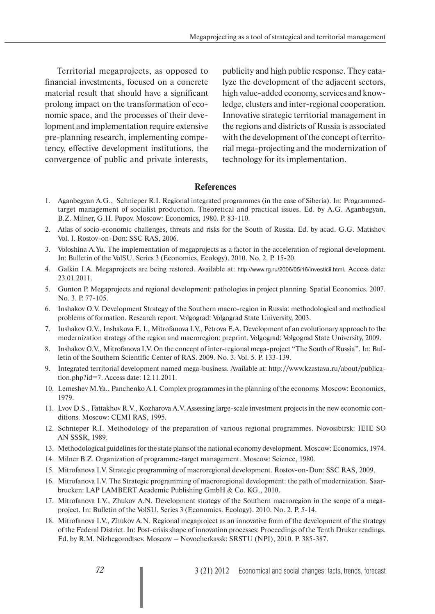Territorial megaprojects, as opposed to financial investments, focused on a concrete material result that should have a significant prolong impact on the transformation of economic space, and the processes of their development and implementation require extensive pre-planning research, implementing competency, effective development institutions, the convergence of public and private interests,

publicity and high public response. They catalyze the development of the adjacent sectors, high value-added economy, services and knowledge, clusters and inter-regional cooperation. Innovative strategic territorial management in the regions and districts of Russia is associated with the development of the concept of territorial mega-projecting and the modernization of technology for its implementation.

## **References**

- 1. Aganbegyan A.G., Schnieper R.I. Regional integrated programmes (in the case of Siberia). In: Programmedtarget management of socialist production. Theoretical and practical issues. Ed. by A.G. Aganbegyan, B.Z. Milner, G.H. Popov. Moscow: Economics, 1980. P. 83-110.
- 2. Atlas of socio-economic challenges, threats and risks for the South of Russia. Ed. by acad. G.G. Matishov. Vol. I. Rostov-on-Don: SSC RAS, 2006.
- 3. Voloshina A.Yu. The implementation of megaprojects as a factor in the acceleration of regional development. In: Bulletin of the VolSU. Series 3 (Economics. Ecology). 2010. No. 2. P. 15-20.
- 4. Galkin I.A. Megaprojects are being restored. Available at: http://www.rg.ru/2006/05/16/investicii.html. Access date: 23.01.2011.
- 5. Gunton P. Megaprojects and regional development: pathologies in project planning. Spatial Economics. 2007. No. 3. P. 77-105.
- 6. Inshakov O.V. Development Strategy of the Southern macro-region in Russia: methodological and methodical problems of formation. Research report. Volgograd: Volgograd State University, 2003.
- 7. Inshakov O.V., Inshakova E. I., Mitrofanova I.V., Petrova E.A. Development of an evolutionary approach to the modernization strategy of the region and macroregion: preprint. Volgograd: Volgograd State University, 2009.
- 8. Inshakov O.V., Mitrofanova I.V. On the concept of inter-regional mega-project "The South of Russia". In: Bulletin of the Southern Scientific Center of RAS. 2009. No. 3. Vol. 5. P. 133-139.
- 9. Integrated territorial development named mega-business. Available at: http://www.kzastava.ru/about/publication.php?id=7. Access date: 12.11.2011.
- 10. Lemeshev M.Ya., Panchenko A.I. Complex programmes in the planning of the economy. Moscow: Economics, 1979.
- 11. Lvov D.S., Fattakhov R.V., Kozharova A.V. Assessing large-scale investment projects in the new economic conditions. Moscow: CEMI RAS, 1995.
- 12. Schnieper R.I. Methodology of the preparation of various regional programmes. Novosibirsk: IEIE SO AN SSSR, 1989.
- 13. Methodological guidelines for the state plans of the national economy development. Moscow: Economics, 1974.
- 14. Milner B.Z. Organization of programme-target management. Moscow: Science, 1980.
- 15. Mitrofanova I.V. Strategic programming of macroregional development. Rostov-on-Don: SSC RAS, 2009.
- 16. Mitrofanova I.V. The Strategic programming of macroregional development: the path of modernization. Saarbrucken: LAP LAMBERT Academic Publishing GmbH & Co. KG., 2010.
- 17. Mitrofanova I.V., Zhukov A.N. Development strategy of the Southern macroregion in the scope of a megaproject. In: Bulletin of the VolSU. Series 3 (Economics. Ecology). 2010. No. 2. P. 5-14.
- 18. Mitrofanova I.V., Zhukov A.N. Regional megaproject as an innovative form of the development of the strategy of the Federal District. In: Post-crisis shape of innovation processes: Proceedings of the Tenth Druker readings. Ed. by R.M. Nizhegorodtsev. Moscow – Novocherkassk: SRSTU (NPI), 2010. P. 385-387.